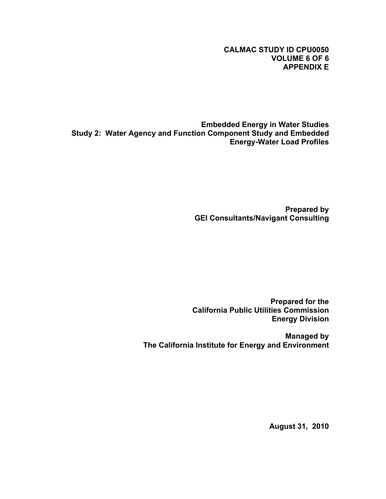### **CALMAC STUDY ID CPU0050 VOLUME 6 OF 6 APPENDIX E**

**Embedded Energy in Water Studies Study 2: Water Agency and Function Component Study and Embedded Energy-Water Load Profiles**

> **Prepared by GEI Consultants/Navigant Consulting**

**Prepared for the California Public Utilities Commission Energy Division**

**Managed by The California Institute for Energy and Environment**

**August 31, 2010**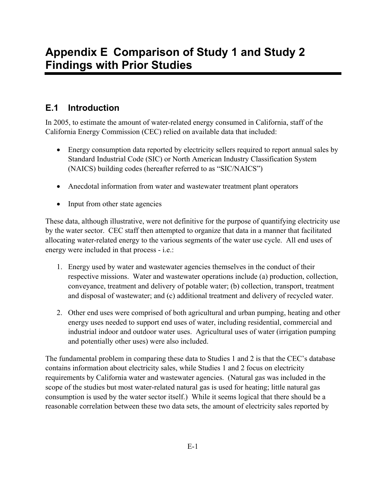# **E.1 Introduction**

In 2005, to estimate the amount of water-related energy consumed in California, staff of the California Energy Commission (CEC) relied on available data that included:

- Energy consumption data reported by electricity sellers required to report annual sales by Standard Industrial Code (SIC) or North American Industry Classification System (NAICS) building codes (hereafter referred to as "SIC/NAICS")
- Anecdotal information from water and wastewater treatment plant operators
- Input from other state agencies

These data, although illustrative, were not definitive for the purpose of quantifying electricity use by the water sector. CEC staff then attempted to organize that data in a manner that facilitated allocating water-related energy to the various segments of the water use cycle. All end uses of energy were included in that process - i.e.:

- 1. Energy used by water and wastewater agencies themselves in the conduct of their respective missions. Water and wastewater operations include (a) production, collection, conveyance, treatment and delivery of potable water; (b) collection, transport, treatment and disposal of wastewater; and (c) additional treatment and delivery of recycled water.
- 2. Other end uses were comprised of both agricultural and urban pumping, heating and other energy uses needed to support end uses of water, including residential, commercial and industrial indoor and outdoor water uses. Agricultural uses of water (irrigation pumping and potentially other uses) were also included.

The fundamental problem in comparing these data to Studies 1 and 2 is that the CEC's database contains information about electricity sales, while Studies 1 and 2 focus on electricity requirements by California water and wastewater agencies. (Natural gas was included in the scope of the studies but most water-related natural gas is used for heating; little natural gas consumption is used by the water sector itself.) While it seems logical that there should be a reasonable correlation between these two data sets, the amount of electricity sales reported by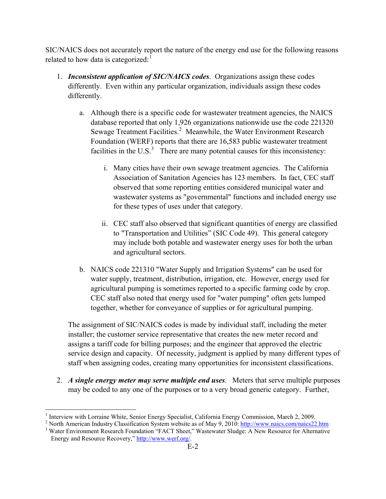SIC/NAICS does not accurately report the nature of the energy end use for the following reasons related to how data is categorized: $<sup>1</sup>$  $<sup>1</sup>$  $<sup>1</sup>$ </sup>

- 1. *Inconsistent application of SIC/NAICS codes*. Organizations assign these codes differently. Even within any particular organization, individuals assign these codes differently.
	- a. Although there is a specific code for wastewater treatment agencies, the NAICS database reported that only 1,926 organizations nationwide use the code 221320 Sewage Treatment Facilities.<sup>[2](#page-2-1)</sup> Meanwhile, the Water Environment Research Foundation (WERF) reports that there are 16,583 public wastewater treatment facilities in the U.S.<sup>[3](#page-2-2)</sup> There are many potential causes for this inconsistency:
		- i. Many cities have their own sewage treatment agencies. The California Association of Sanitation Agencies has 123 members. In fact, CEC staff observed that some reporting entities considered municipal water and wastewater systems as "governmental" functions and included energy use for these types of uses under that category.
		- ii. CEC staff also observed that significant quantities of energy are classified to "Transportation and Utilities" (SIC Code 49). This general category may include both potable and wastewater energy uses for both the urban and agricultural sectors.
	- b. NAICS code 221310 "Water Supply and Irrigation Systems" can be used for water supply, treatment, distribution, irrigation, etc. However, energy used for agricultural pumping is sometimes reported to a specific farming code by crop. CEC staff also noted that energy used for "water pumping" often gets lumped together, whether for conveyance of supplies or for agricultural pumping.

The assignment of SIC/NAICS codes is made by individual staff, including the meter installer; the customer service representative that creates the new meter record and assigns a tariff code for billing purposes; and the engineer that approved the electric service design and capacity. Of necessity, judgment is applied by many different types of staff when assigning codes, creating many opportunities for inconsistent classifications.

2. *A single energy meter may serve multiple end uses*. Meters that serve multiple purposes may be coded to any one of the purposes or to a very broad generic category. Further,

<span id="page-2-0"></span><sup>1</sup> Interview with Lorraine White, Senior Energy Specialist, California Energy Commission, March 2, 2009. 2

<span id="page-2-2"></span><span id="page-2-1"></span><sup>&</sup>lt;sup>2</sup> North American Industry Classification System website as of May 9, 2010: <http://www.naics.com/naics22.htm> <sup>3</sup> Water Environment Research Foundation "FACT Sheet," Wastewater Sludge: A New Resource for Alternative Energy and Resource Recovery," [http://www.werf.org/.](http://www.werf.org/)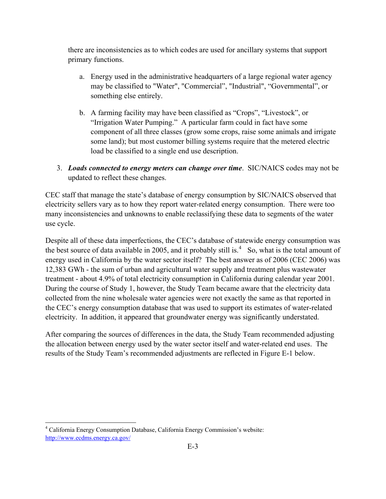there are inconsistencies as to which codes are used for ancillary systems that support primary functions.

- a. Energy used in the administrative headquarters of a large regional water agency may be classified to "Water", "Commercial", "Industrial", "Governmental", or something else entirely.
- b. A farming facility may have been classified as "Crops", "Livestock", or "Irrigation Water Pumping." A particular farm could in fact have some component of all three classes (grow some crops, raise some animals and irrigate some land); but most customer billing systems require that the metered electric load be classified to a single end use description.
- 3. *Loads connected to energy meters can change over time*. SIC/NAICS codes may not be updated to reflect these changes.

CEC staff that manage the state's database of energy consumption by SIC/NAICS observed that electricity sellers vary as to how they report water-related energy consumption. There were too many inconsistencies and unknowns to enable reclassifying these data to segments of the water use cycle.

Despite all of these data imperfections, the CEC's database of statewide energy consumption was the best source of data available in 2005, and it probably still is.<sup>[4](#page-3-0)</sup> So, what is the total amount of energy used in California by the water sector itself? The best answer as of 2006 (CEC 2006) was 12,383 GWh - the sum of urban and agricultural water supply and treatment plus wastewater treatment - about 4.9% of total electricity consumption in California during calendar year 2001. During the course of Study 1, however, the Study Team became aware that the electricity data collected from the nine wholesale water agencies were not exactly the same as that reported in the CEC's energy consumption database that was used to support its estimates of water-related electricity. In addition, it appeared that groundwater energy was significantly understated.

After comparing the sources of differences in the data, the Study Team recommended adjusting the allocation between energy used by the water sector itself and water-related end uses. The results of the Study Team's recommended adjustments are reflected in Figure E-1 below.

<span id="page-3-0"></span><sup>4</sup> California Energy Consumption Database, California Energy Commission's website: <http://www.ecdms.energy.ca.gov/>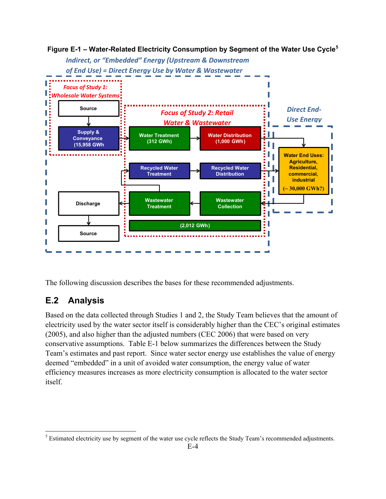

**Figure E-1 – Water-Related Electricity Consumption by Segment of the Water Use Cycle[5](#page-4-0)**

The following discussion describes the bases for these recommended adjustments.

# **E.2 Analysis**

Based on the data collected through Studies 1 and 2, the Study Team believes that the amount of electricity used by the water sector itself is considerably higher than the CEC's original estimates (2005), and also higher than the adjusted numbers (CEC 2006) that were based on very conservative assumptions. Table E-1 below summarizes the differences between the Study Team's estimates and past report. Since water sector energy use establishes the value of energy deemed "embedded" in a unit of avoided water consumption, the energy value of water efficiency measures increases as more electricity consumption is allocated to the water sector itself.

<span id="page-4-0"></span> $\overline{a}$  $<sup>5</sup>$  Estimated electricity use by segment of the water use cycle reflects the Study Team's recommended adjustments.</sup>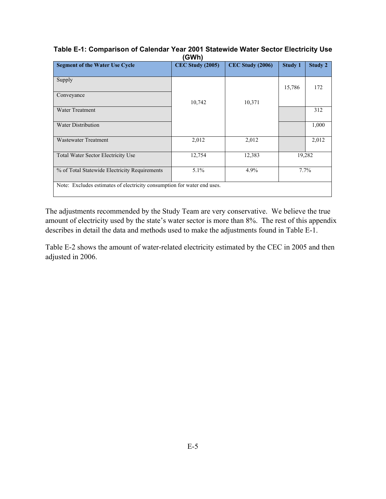| <b>••••••</b>                                                           |                         |                         |                |                |  |  |  |
|-------------------------------------------------------------------------|-------------------------|-------------------------|----------------|----------------|--|--|--|
| <b>Segment of the Water Use Cycle</b>                                   | <b>CEC Study (2005)</b> | <b>CEC Study (2006)</b> | <b>Study 1</b> | <b>Study 2</b> |  |  |  |
|                                                                         |                         |                         |                |                |  |  |  |
| Supply                                                                  |                         |                         |                |                |  |  |  |
|                                                                         |                         |                         | 15,786         | 172            |  |  |  |
| Conveyance                                                              |                         |                         |                |                |  |  |  |
|                                                                         | 10,742                  | 10,371                  |                |                |  |  |  |
| <b>Water Treatment</b>                                                  |                         |                         |                | 312            |  |  |  |
| <b>Water Distribution</b>                                               |                         |                         |                | 1,000          |  |  |  |
|                                                                         |                         |                         |                |                |  |  |  |
| <b>Wastewater Treatment</b>                                             | 2,012                   | 2,012                   |                | 2,012          |  |  |  |
|                                                                         |                         |                         |                |                |  |  |  |
| <b>Total Water Sector Electricity Use</b>                               | 12,754                  | 12,383                  |                | 19,282         |  |  |  |
|                                                                         |                         |                         |                |                |  |  |  |
| % of Total Statewide Electricity Requirements                           | $5.1\%$                 | 4.9%                    |                | 7.7%           |  |  |  |
|                                                                         |                         |                         |                |                |  |  |  |
| Note: Excludes estimates of electricity consumption for water end uses. |                         |                         |                |                |  |  |  |
|                                                                         |                         |                         |                |                |  |  |  |

### **Table E-1: Comparison of Calendar Year 2001 Statewide Water Sector Electricity Use (GWh)**

The adjustments recommended by the Study Team are very conservative. We believe the true amount of electricity used by the state's water sector is more than 8%. The rest of this appendix describes in detail the data and methods used to make the adjustments found in Table E-1.

Table E-2 shows the amount of water-related electricity estimated by the CEC in 2005 and then adjusted in 2006.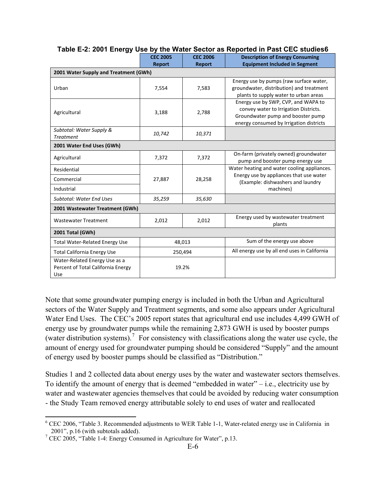|                                                                            | <b>CEC 2005</b> | <b>CEC 2006</b> | <b>Description of Energy Consuming</b>                                                                                                                       |  |  |  |
|----------------------------------------------------------------------------|-----------------|-----------------|--------------------------------------------------------------------------------------------------------------------------------------------------------------|--|--|--|
|                                                                            | Report          | Report          | <b>Equipment Included in Segment</b>                                                                                                                         |  |  |  |
| 2001 Water Supply and Treatment (GWh)                                      |                 |                 |                                                                                                                                                              |  |  |  |
| Urban                                                                      | 7,554           | 7,583           | Energy use by pumps (raw surface water,<br>groundwater, distribution) and treatment<br>plants to supply water to urban areas                                 |  |  |  |
| Agricultural                                                               | 3,188           | 2,788           | Energy use by SWP, CVP, and WAPA to<br>convey water to Irrigation Districts.<br>Groundwater pump and booster pump<br>energy consumed by Irrigation districts |  |  |  |
| Subtotal: Water Supply &<br><b>Treatment</b>                               | 10,742          | 10,371          |                                                                                                                                                              |  |  |  |
| 2001 Water End Uses (GWh)                                                  |                 |                 |                                                                                                                                                              |  |  |  |
| Agricultural                                                               | 7,372           | 7,372           | On-farm (privately owned) groundwater<br>pump and booster pump energy use                                                                                    |  |  |  |
| Residential                                                                |                 |                 | Water heating and water cooling appliances.                                                                                                                  |  |  |  |
| Commercial                                                                 | 27,887          | 28,258          | Energy use by appliances that use water<br>(Example: dishwashers and laundry                                                                                 |  |  |  |
| Industrial                                                                 |                 |                 | machines)                                                                                                                                                    |  |  |  |
| <b>Subtotal: Water End Uses</b>                                            | 35,259          | 35,630          |                                                                                                                                                              |  |  |  |
| 2001 Wastewater Treatment (GWh)                                            |                 |                 |                                                                                                                                                              |  |  |  |
| <b>Wastewater Treatment</b>                                                | 2,012           | 2,012           | Energy used by wastewater treatment<br>plants                                                                                                                |  |  |  |
| 2001 Total (GWh)                                                           |                 |                 |                                                                                                                                                              |  |  |  |
| <b>Total Water-Related Energy Use</b>                                      | 48,013          |                 | Sum of the energy use above                                                                                                                                  |  |  |  |
| <b>Total California Energy Use</b>                                         |                 | 250,494         | All energy use by all end uses in California                                                                                                                 |  |  |  |
| Water-Related Energy Use as a<br>Percent of Total California Energy<br>Use |                 | 19.2%           |                                                                                                                                                              |  |  |  |

#### **Table E-2: 2001 Energy Use by the Water Sector as Reported in Past CEC studies[6](#page-6-1)**

Note that some groundwater pumping energy is included in both the Urban and Agricultural sectors of the Water Supply and Treatment segments, and some also appears under Agricultural Water End Uses. The CEC's 2005 report states that agricultural end use includes 4,499 GWH of energy use by groundwater pumps while the remaining 2,873 GWH is used by booster pumps (water distribution systems).<sup>[7](#page-6-0)</sup> For consistency with classifications along the water use cycle, the amount of energy used for groundwater pumping should be considered "Supply" and the amount of energy used by booster pumps should be classified as "Distribution."

Studies 1 and 2 collected data about energy uses by the water and wastewater sectors themselves. To identify the amount of energy that is deemed "embedded in water" – i.e., electricity use by water and wastewater agencies themselves that could be avoided by reducing water consumption - the Study Team removed energy attributable solely to end uses of water and reallocated

<span id="page-6-1"></span> $6$  CEC 2006, "Table 3. Recommended adjustments to WER Table 1-1, Water-related energy use in California in 2001", p.16 (with subtotals added).

<span id="page-6-0"></span><sup>&</sup>lt;sup>7</sup> CEC 2005, "Table 1-4: Energy Consumed in Agriculture for Water", p.13.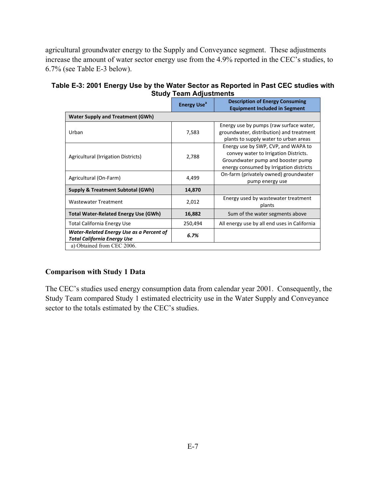agricultural groundwater energy to the Supply and Conveyance segment. These adjustments increase the amount of water sector energy use from the 4.9% reported in the CEC's studies, to 6.7% (see Table E-3 below).

| Table E-3: 2001 Energy Use by the Water Sector as Reported in Past CEC studies with |
|-------------------------------------------------------------------------------------|
| <b>Study Team Adjustments</b>                                                       |

|                                                                         | <b>Energy Use<sup>a</sup></b> | <b>Description of Energy Consuming</b><br><b>Equipment Included in Segment</b>                                                                               |
|-------------------------------------------------------------------------|-------------------------------|--------------------------------------------------------------------------------------------------------------------------------------------------------------|
| <b>Water Supply and Treatment (GWh)</b>                                 |                               |                                                                                                                                                              |
| Urban                                                                   | 7,583                         | Energy use by pumps (raw surface water,<br>groundwater, distribution) and treatment<br>plants to supply water to urban areas                                 |
| Agricultural (Irrigation Districts)                                     | 2,788                         | Energy use by SWP, CVP, and WAPA to<br>convey water to Irrigation Districts.<br>Groundwater pump and booster pump<br>energy consumed by Irrigation districts |
| Agricultural (On-Farm)                                                  | 4,499                         | On-farm (privately owned) groundwater<br>pump energy use                                                                                                     |
| <b>Supply &amp; Treatment Subtotal (GWh)</b>                            | 14,870                        |                                                                                                                                                              |
| <b>Wastewater Treatment</b>                                             | 2,012                         | Energy used by wastewater treatment<br>plants                                                                                                                |
| <b>Total Water-Related Energy Use (GWh)</b>                             | 16,882                        | Sum of the water segments above                                                                                                                              |
| Total California Energy Use                                             | 250,494                       | All energy use by all end uses in California                                                                                                                 |
| Water-Related Energy Use as a Percent of<br>Total California Energy Use | 6.7%                          |                                                                                                                                                              |
| a) Obtained from CEC 2006.                                              |                               |                                                                                                                                                              |

## **Comparison with Study 1 Data**

The CEC's studies used energy consumption data from calendar year 2001. Consequently, the Study Team compared Study 1 estimated electricity use in the Water Supply and Conveyance sector to the totals estimated by the CEC's studies.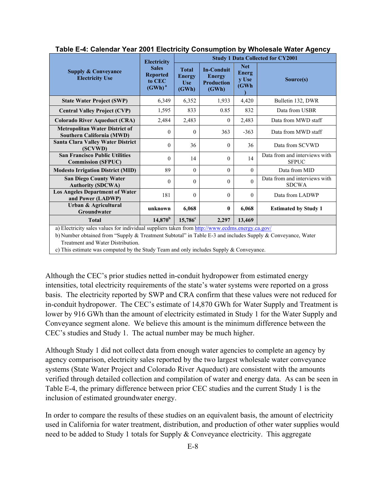|                                                                                                 | <b>Electricity</b>                                       | <b>Study 1 Data Collected for CY2001</b>             |                                                                  |                                      |                                               |  |
|-------------------------------------------------------------------------------------------------|----------------------------------------------------------|------------------------------------------------------|------------------------------------------------------------------|--------------------------------------|-----------------------------------------------|--|
| <b>Supply &amp; Conveyance</b><br><b>Electricity Use</b>                                        | <b>Sales</b><br><b>Reported</b><br>to CEC<br>$(GWh)^{a}$ | <b>Total</b><br><b>Energy</b><br><b>Use</b><br>(GWh) | <b>In-Conduit</b><br><b>Energy</b><br><b>Production</b><br>(GWh) | <b>Net</b><br>Energ<br>y Use<br>(GWh | Source(s)                                     |  |
| <b>State Water Project (SWP)</b>                                                                | 6,349                                                    | 6,352                                                | 1,933                                                            | 4,420                                | Bulletin 132, DWR                             |  |
| <b>Central Valley Project (CVP)</b>                                                             | 1,595                                                    | 833                                                  | 0.85                                                             | 832                                  | Data from USBR                                |  |
| <b>Colorado River Aqueduct (CRA)</b>                                                            | 2,484                                                    | 2,483                                                | $\theta$                                                         | 2,483                                | Data from MWD staff                           |  |
| <b>Metropolitan Water District of</b><br><b>Southern California (MWD)</b>                       | $\theta$                                                 | $\Omega$                                             | 363                                                              | $-363$                               | Data from MWD staff                           |  |
| <b>Santa Clara Valley Water District</b><br>(SCVWD)                                             | 0                                                        | 36                                                   | $\Omega$                                                         | 36                                   | Data from SCVWD                               |  |
| <b>San Francisco Public Utilities</b><br><b>Commission (SFPUC)</b>                              | $\theta$                                                 | 14                                                   | $\Omega$                                                         | 14                                   | Data from and interviews with<br><b>SFPUC</b> |  |
| <b>Modesto Irrigation District (MID)</b>                                                        | 89                                                       | $\Omega$                                             | $\theta$                                                         | $\Omega$                             | Data from MID                                 |  |
| <b>San Diego County Water</b><br><b>Authority (SDCWA)</b>                                       | $\theta$                                                 | $\Omega$                                             | $\theta$                                                         | $\Omega$                             | Data from and interviews with<br><b>SDCWA</b> |  |
| <b>Los Angeles Department of Water</b><br>and Power (LADWP)                                     | 181                                                      | $\Omega$                                             | $\theta$                                                         | $\theta$                             | Data from LADWP                               |  |
| Urban & Agricultural<br>Groundwater                                                             | unknown                                                  | 6,068                                                | $\bf{0}$                                                         | 6,068                                | <b>Estimated by Study 1</b>                   |  |
| <b>Total</b>                                                                                    | $14,870^b$                                               | $15,786^c$                                           | 2,297                                                            | 13,469                               |                                               |  |
| a) Electricity sales values for individual suppliers taken from http://www.ecdms.energy.ca.gov/ |                                                          |                                                      |                                                                  |                                      |                                               |  |

**Table E-4: Calendar Year 2001 Electricity Consumption by Wholesale Water Agency** 

b) Number obtained from "Supply & Treatment Subtotal" in Table E-3 and includes Supply & Conveyance, Water Treatment and Water Distribution.

c) This estimate was computed by the Study Team and only includes Supply & Conveyance.

Although the CEC's prior studies netted in-conduit hydropower from estimated energy intensities, total electricity requirements of the state's water systems were reported on a gross basis. The electricity reported by SWP and CRA confirm that these values were not reduced for in-conduit hydropower. The CEC's estimate of 14,870 GWh for Water Supply and Treatment is lower by 916 GWh than the amount of electricity estimated in Study 1 for the Water Supply and Conveyance segment alone. We believe this amount is the minimum difference between the CEC's studies and Study 1. The actual number may be much higher.

Although Study 1 did not collect data from enough water agencies to complete an agency by agency comparison, electricity sales reported by the two largest wholesale water conveyance systems (State Water Project and Colorado River Aqueduct) are consistent with the amounts verified through detailed collection and compilation of water and energy data. As can be seen in Table E-4, the primary difference between prior CEC studies and the current Study 1 is the inclusion of estimated groundwater energy.

In order to compare the results of these studies on an equivalent basis, the amount of electricity used in California for water treatment, distribution, and production of other water supplies would need to be added to Study 1 totals for Supply & Conveyance electricity. This aggregate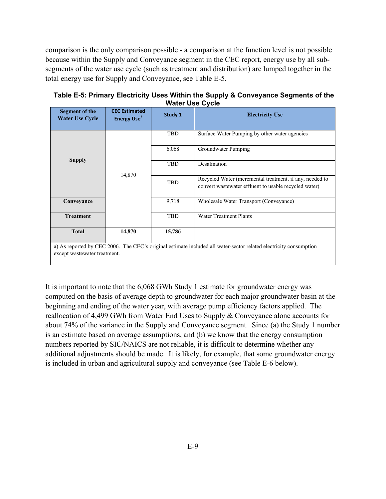comparison is the only comparison possible - a comparison at the function level is not possible because within the Supply and Conveyance segment in the CEC report, energy use by all subsegments of the water use cycle (such as treatment and distribution) are lumped together in the total energy use for Supply and Conveyance, see Table E-5.

|                                          |                                                 | <b>TRAIGE OSG OVUIG</b>                       |                                                                                                                   |  |
|------------------------------------------|-------------------------------------------------|-----------------------------------------------|-------------------------------------------------------------------------------------------------------------------|--|
| Segment of the<br><b>Water Use Cycle</b> | <b>CEC Estimated</b><br>Energy Use <sup>a</sup> | Study 1                                       | <b>Electricity Use</b>                                                                                            |  |
|                                          |                                                 | <b>TBD</b>                                    | Surface Water Pumping by other water agencies                                                                     |  |
|                                          |                                                 | 6,068<br>Groundwater Pumping<br><b>Supply</b> |                                                                                                                   |  |
|                                          |                                                 | <b>TBD</b>                                    | Desalination                                                                                                      |  |
|                                          | 14,870                                          | TBD                                           | Recycled Water (incremental treatment, if any, needed to<br>convert wastewater effluent to usable recycled water) |  |
| Conveyance                               |                                                 | 9,718                                         | Wholesale Water Transport (Conveyance)                                                                            |  |
| <b>Treatment</b>                         |                                                 | <b>TBD</b>                                    | <b>Water Treatment Plants</b>                                                                                     |  |
| <b>Total</b>                             | 14,870                                          | 15,786                                        |                                                                                                                   |  |
|                                          |                                                 |                                               | a) As reported by CEC 2006. The CEC's original estimate included all water-sector related electricity consumption |  |
| except wastewater treatment.             |                                                 |                                               |                                                                                                                   |  |

 **Table E-5: Primary Electricity Uses Within the Supply & Conveyance Segments of the Water Use Cycle** 

It is important to note that the 6,068 GWh Study 1 estimate for groundwater energy was computed on the basis of average depth to groundwater for each major groundwater basin at the beginning and ending of the water year, with average pump efficiency factors applied. The reallocation of 4,499 GWh from Water End Uses to Supply & Conveyance alone accounts for about 74% of the variance in the Supply and Conveyance segment. Since (a) the Study 1 number is an estimate based on average assumptions, and (b) we know that the energy consumption numbers reported by SIC/NAICS are not reliable, it is difficult to determine whether any additional adjustments should be made. It is likely, for example, that some groundwater energy is included in urban and agricultural supply and conveyance (see Table E-6 below).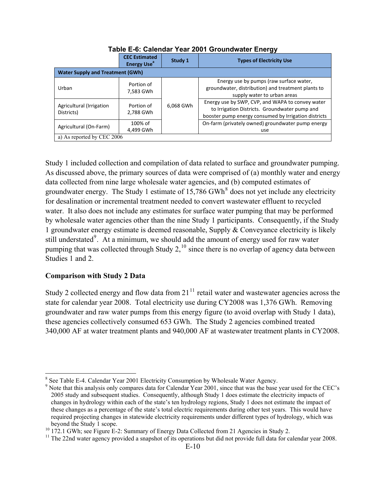|                                         | <b>CEC Estimated</b><br><b>Energy Use<sup>a</sup></b> | Study 1   | <b>Types of Electricity Use</b>                                                                                                                           |
|-----------------------------------------|-------------------------------------------------------|-----------|-----------------------------------------------------------------------------------------------------------------------------------------------------------|
| <b>Water Supply and Treatment (GWh)</b> |                                                       |           |                                                                                                                                                           |
| Urban                                   | Portion of<br>7,583 GWh                               |           | Energy use by pumps (raw surface water,<br>groundwater, distribution) and treatment plants to<br>supply water to urban areas                              |
| Agricultural (Irrigation<br>Districts)  | Portion of<br>2,788 GWh                               | 6,068 GWh | Energy use by SWP, CVP, and WAPA to convey water<br>to Irrigation Districts. Groundwater pump and<br>booster pump energy consumed by Irrigation districts |
| Agricultural (On-Farm)                  | 100% of<br>4,499 GWh                                  |           | On-farm (privately owned) groundwater pump energy<br>use                                                                                                  |
| a) As reported by CEC 2006              |                                                       |           |                                                                                                                                                           |

|  |  | Table E-6: Calendar Year 2001 Groundwater Energy |
|--|--|--------------------------------------------------|
|--|--|--------------------------------------------------|

Study 1 included collection and compilation of data related to surface and groundwater pumping. As discussed above, the primary sources of data were comprised of (a) monthly water and energy data collected from nine large wholesale water agencies, and (b) computed estimates of groundwater energy. The Study 1 estimate of  $15,786$  $15,786$  $15,786$  GWh<sup>8</sup> does not yet include any electricity for desalination or incremental treatment needed to convert wastewater effluent to recycled water. It also does not include any estimates for surface water pumping that may be performed by wholesale water agencies other than the nine Study 1 participants. Consequently, if the Study 1 groundwater energy estimate is deemed reasonable, Supply & Conveyance electricity is likely still understated<sup>[9](#page-10-2)</sup>. At a minimum, we should add the amount of energy used for raw water pumping that was collected through Study  $2$ ,<sup>[10](#page-10-3)</sup> since there is no overlap of agency data between Studies 1 and 2.

### **Comparison with Study 2 Data**

 $\overline{a}$ 

Study 2 collected energy and flow data from  $21<sup>11</sup>$  $21<sup>11</sup>$  $21<sup>11</sup>$  retail water and wastewater agencies across the state for calendar year 2008. Total electricity use during CY2008 was 1,376 GWh. Removing groundwater and raw water pumps from this energy figure (to avoid overlap with Study 1 data), these agencies collectively consumed 653 GWh. The Study 2 agencies combined treated 340,000 AF at water treatment plants and 940,000 AF at wastewater treatment plants in CY2008.

<span id="page-10-1"></span><sup>&</sup>lt;sup>8</sup> See Table E-4. Calendar Year 2001 Electricity Consumption by Wholesale Water Agency.

<span id="page-10-2"></span><sup>&</sup>lt;sup>9</sup> Note that this analysis only compares data for Calendar Year 2001, since that was the base year used for the CEC's 2005 study and subsequent studies. Consequently, although Study 1 does estimate the electricity impacts of changes in hydrology within each of the state's ten hydrology regions, Study 1 does not estimate the impact of these changes as a percentage of the state's total electric requirements during other test years. This would have required projecting changes in statewide electricity requirements under different types of hydrology, which was beyond the Study 1 scope.<br><sup>10</sup> 172.1 GWh; see Figure E-2: Summary of Energy Data Collected from 21 Agencies in Study 2.

<span id="page-10-3"></span><span id="page-10-0"></span><sup>&</sup>lt;sup>11</sup> The 22nd water agency provided a snapshot of its operations but did not provide full data for calendar year 2008.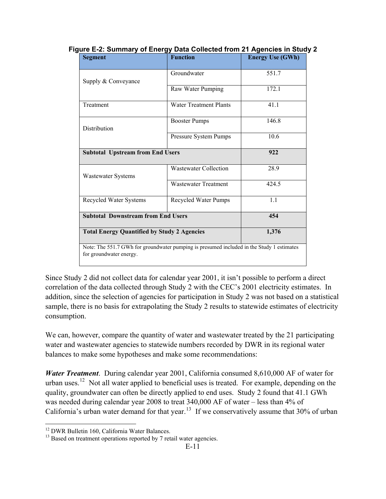| <b>Segment</b>                                                                                                       | <b>Function</b>               | <b>Energy Use (GWh)</b> |  |  |
|----------------------------------------------------------------------------------------------------------------------|-------------------------------|-------------------------|--|--|
| Supply & Conveyance                                                                                                  | Groundwater                   | 551.7                   |  |  |
|                                                                                                                      | Raw Water Pumping             | 172.1                   |  |  |
| Treatment                                                                                                            | <b>Water Treatment Plants</b> | 41.1                    |  |  |
| Distribution                                                                                                         | <b>Booster Pumps</b>          | 146.8                   |  |  |
|                                                                                                                      | Pressure System Pumps         | 10.6                    |  |  |
| <b>Subtotal Upstream from End Users</b>                                                                              | 922                           |                         |  |  |
| Wastewater Systems                                                                                                   | <b>Wastewater Collection</b>  | 28.9                    |  |  |
|                                                                                                                      | <b>Wastewater Treatment</b>   | 424.5                   |  |  |
| <b>Recycled Water Systems</b>                                                                                        | Recycled Water Pumps          | 1.1                     |  |  |
| <b>Subtotal Downstream from End Users</b>                                                                            | 454                           |                         |  |  |
| <b>Total Energy Quantified by Study 2 Agencies</b>                                                                   |                               | 1,376                   |  |  |
| Note: The 551.7 GWh for groundwater pumping is presumed included in the Study 1 estimates<br>for groundwater energy. |                               |                         |  |  |

| Figure E-2: Summary of Energy Data Collected from 21 Agencies in Study 2 |
|--------------------------------------------------------------------------|
|--------------------------------------------------------------------------|

Since Study 2 did not collect data for calendar year 2001, it isn't possible to perform a direct correlation of the data collected through Study 2 with the CEC's 2001 electricity estimates. In addition, since the selection of agencies for participation in Study 2 was not based on a statistical sample, there is no basis for extrapolating the Study 2 results to statewide estimates of electricity consumption.

We can, however, compare the quantity of water and wastewater treated by the 21 participating water and wastewater agencies to statewide numbers recorded by DWR in its regional water balances to make some hypotheses and make some recommendations:

*Water Treatment*. During calendar year 2001, California consumed 8,610,000 AF of water for urban uses.<sup>[12](#page-11-1)</sup> Not all water applied to beneficial uses is treated. For example, depending on the quality, groundwater can often be directly applied to end uses. Study 2 found that 41.1 GWh was needed during calendar year 2008 to treat 340,000 AF of water – less than 4% of California's urban water demand for that year.<sup>[13](#page-11-0)</sup> If we conservatively assume that  $30\%$  of urban

1

<span id="page-11-1"></span><sup>&</sup>lt;sup>12</sup> DWR Bulletin 160, California Water Balances.

<span id="page-11-0"></span><sup>&</sup>lt;sup>13</sup> Based on treatment operations reported by 7 retail water agencies.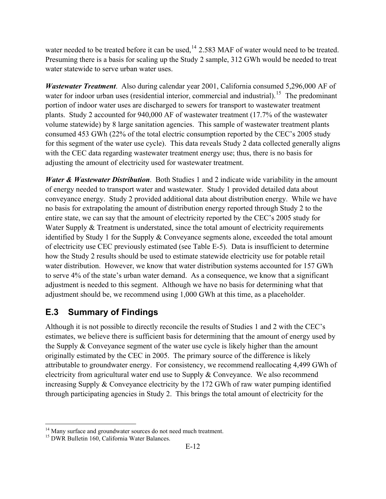water needed to be treated before it can be used,<sup>[14](#page-12-1)</sup> 2.583 MAF of water would need to be treated. Presuming there is a basis for scaling up the Study 2 sample, 312 GWh would be needed to treat water statewide to serve urban water uses.

*Wastewater Treatment*. Also during calendar year 2001, California consumed 5,296,000 AF of water for indoor urban uses (residential interior, commercial and industrial).<sup>[15](#page-12-0)</sup> The predominant portion of indoor water uses are discharged to sewers for transport to wastewater treatment plants. Study 2 accounted for 940,000 AF of wastewater treatment (17.7% of the wastewater volume statewide) by 8 large sanitation agencies. This sample of wastewater treatment plants consumed 453 GWh (22% of the total electric consumption reported by the CEC's 2005 study for this segment of the water use cycle). This data reveals Study 2 data collected generally aligns with the CEC data regarding wastewater treatment energy use; thus, there is no basis for adjusting the amount of electricity used for wastewater treatment.

*Water & Wastewater Distribution*. Both Studies 1 and 2 indicate wide variability in the amount of energy needed to transport water and wastewater. Study 1 provided detailed data about conveyance energy. Study 2 provided additional data about distribution energy. While we have no basis for extrapolating the amount of distribution energy reported through Study 2 to the entire state, we can say that the amount of electricity reported by the CEC's 2005 study for Water Supply & Treatment is understated, since the total amount of electricity requirements identified by Study 1 for the Supply & Conveyance segments alone, exceeded the total amount of electricity use CEC previously estimated (see Table E-5). Data is insufficient to determine how the Study 2 results should be used to estimate statewide electricity use for potable retail water distribution. However, we know that water distribution systems accounted for 157 GWh to serve 4% of the state's urban water demand. As a consequence, we know that a significant adjustment is needed to this segment. Although we have no basis for determining what that adjustment should be, we recommend using 1,000 GWh at this time, as a placeholder.

# **E.3 Summary of Findings**

Although it is not possible to directly reconcile the results of Studies 1 and 2 with the CEC's estimates, we believe there is sufficient basis for determining that the amount of energy used by the Supply & Conveyance segment of the water use cycle is likely higher than the amount originally estimated by the CEC in 2005. The primary source of the difference is likely attributable to groundwater energy. For consistency, we recommend reallocating 4,499 GWh of electricity from agricultural water end use to Supply & Conveyance. We also recommend increasing Supply & Conveyance electricity by the 172 GWh of raw water pumping identified through participating agencies in Study 2. This brings the total amount of electricity for the

<span id="page-12-1"></span><span id="page-12-0"></span><sup>&</sup>lt;sup>14</sup> Many surface and groundwater sources do not need much treatment.<br><sup>15</sup> DWR Bulletin 160, California Water Balances.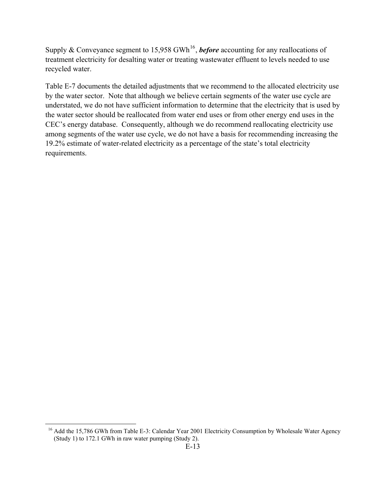Supply & Conveyance segment to 15,958 GWh<sup>[16](#page-13-0)</sup>, *before* accounting for any reallocations of treatment electricity for desalting water or treating wastewater effluent to levels needed to use recycled water.

Table E-7 documents the detailed adjustments that we recommend to the allocated electricity use by the water sector. Note that although we believe certain segments of the water use cycle are understated, we do not have sufficient information to determine that the electricity that is used by the water sector should be reallocated from water end uses or from other energy end uses in the CEC's energy database. Consequently, although we do recommend reallocating electricity use among segments of the water use cycle, we do not have a basis for recommending increasing the 19.2% estimate of water-related electricity as a percentage of the state's total electricity requirements.

<span id="page-13-0"></span><sup>&</sup>lt;sup>16</sup> Add the 15,786 GWh from Table E-3: Calendar Year 2001 Electricity Consumption by Wholesale Water Agency (Study 1) to 172.1 GWh in raw water pumping (Study 2).